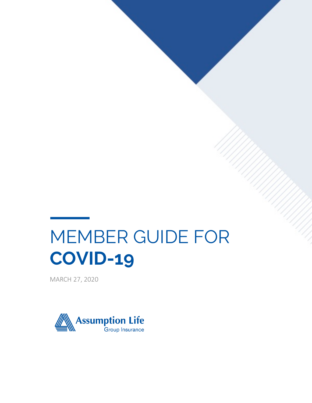# MEMBER GUIDE FOR **COVID-19**

MARCH 27, 2020

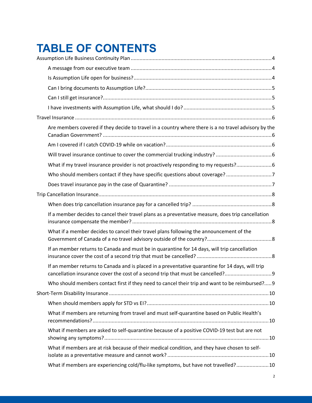# **TABLE OF CONTENTS**

| Are members covered if they decide to travel in a country where there is a no travel advisory by the                                                                               |  |
|------------------------------------------------------------------------------------------------------------------------------------------------------------------------------------|--|
|                                                                                                                                                                                    |  |
|                                                                                                                                                                                    |  |
| What if my travel insurance provider is not proactively responding to my requests? 6                                                                                               |  |
| Who should members contact if they have specific questions about coverage? 7                                                                                                       |  |
|                                                                                                                                                                                    |  |
|                                                                                                                                                                                    |  |
|                                                                                                                                                                                    |  |
| If a member decides to cancel their travel plans as a preventative measure, does trip cancellation                                                                                 |  |
| What if a member decides to cancel their travel plans following the announcement of the                                                                                            |  |
| If an member returns to Canada and must be in quarantine for 14 days, will trip cancellation                                                                                       |  |
| If an member returns to Canada and is placed in a preventative quarantine for 14 days, will trip<br>cancellation insurance cover the cost of a second trip that must be cancelled? |  |
| Who should members contact first if they need to cancel their trip and want to be reimbursed? 9                                                                                    |  |
|                                                                                                                                                                                    |  |
|                                                                                                                                                                                    |  |
| What if members are returning from travel and must self-quarantine based on Public Health's                                                                                        |  |
| What if members are asked to self-quarantine because of a positive COVID-19 test but are not                                                                                       |  |
| What if members are at risk because of their medical condition, and they have chosen to self-                                                                                      |  |
| What if members are experiencing cold/flu-like symptoms, but have not travelled?10                                                                                                 |  |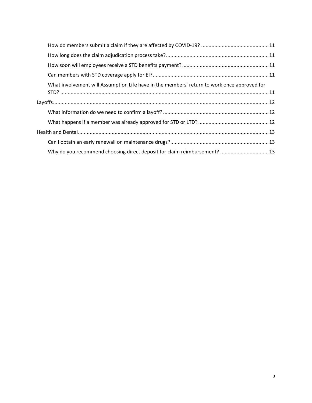|  | What involvement will Assumption Life have in the members' return to work once approved for |  |
|--|---------------------------------------------------------------------------------------------|--|
|  |                                                                                             |  |
|  |                                                                                             |  |
|  |                                                                                             |  |
|  |                                                                                             |  |
|  |                                                                                             |  |
|  |                                                                                             |  |
|  | Why do you recommend choosing direct deposit for claim reimbursement?  13                   |  |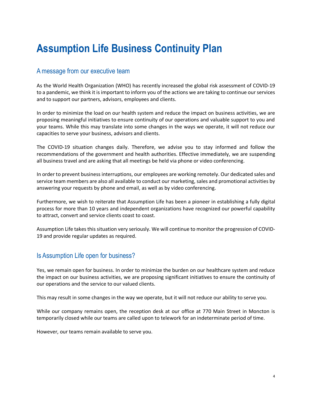# **Assumption Life Business Continuity Plan**

#### A message from our executive team

As the World Health Organization (WHO) has recently increased the global risk assessment of COVID-19 to a pandemic, we think it is important to inform you of the actions we are taking to continue our services and to support our partners, advisors, employees and clients.

In order to minimize the load on our health system and reduce the impact on business activities, we are proposing meaningful initiatives to ensure continuity of our operations and valuable support to you and your teams. While this may translate into some changes in the ways we operate, it will not reduce our capacities to serve your business, advisors and clients.

The COVID-19 situation changes daily. Therefore, we advise you to stay informed and follow the recommendations of the government and health authorities. Effective immediately, we are suspending all business travel and are asking that all meetings be held via phone or video conferencing.

In order to prevent business interruptions, our employees are working remotely. Our dedicated sales and service team members are also all available to conduct our marketing, sales and promotional activities by answering your requests by phone and email, as well as by video conferencing.

Furthermore, we wish to reiterate that Assumption Life has been a pioneer in establishing a fully digital process for more than 10 years and independent organizations have recognized our powerful capability to attract, convert and service clients coast to coast.

Assumption Life takes this situation very seriously. We will continue to monitor the progression of COVID-19 and provide regular updates as required.

#### Is Assumption Life open for business?

Yes, we remain open for business. In order to minimize the burden on our healthcare system and reduce the impact on our business activities, we are proposing significant initiatives to ensure the continuity of our operations and the service to our valued clients.

This may result in some changes in the way we operate, but it will not reduce our ability to serve you.

While our company remains open, the reception desk at our office at 770 Main Street in Moncton is temporarily closed while our teams are called upon to telework for an indeterminate period of time.

However, our teams remain available to serve you.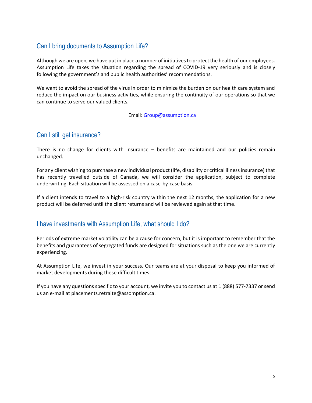# Can I bring documents to Assumption Life?

Although we are open, we have put in place a number of initiatives to protect the health of our employees. Assumption Life takes the situation regarding the spread of COVID-19 very seriously and is closely following the government's and public health authorities' recommendations.

We want to avoid the spread of the virus in order to minimize the burden on our health care system and reduce the impact on our business activities, while ensuring the continuity of our operations so that we can continue to serve our valued clients.

Email: Group@assumption.ca

# Can I still get insurance?

There is no change for clients with insurance – benefits are maintained and our policies remain unchanged.

For any client wishing to purchase a new individual product (life, disability or critical illness insurance) that has recently travelled outside of Canada, we will consider the application, subject to complete underwriting. Each situation will be assessed on a case-by-case basis.

If a client intends to travel to a high-risk country within the next 12 months, the application for a new product will be deferred until the client returns and will be reviewed again at that time.

#### I have investments with Assumption Life, what should I do?

Periods of extreme market volatility can be a cause for concern, but it is important to remember that the benefits and guarantees of segregated funds are designed for situations such as the one we are currently experiencing.

At Assumption Life, we invest in your success. Our teams are at your disposal to keep you informed of market developments during these difficult times.

If you have any questions specific to your account, we invite you to contact us at 1 (888) 577-7337 or send us an e-mail at placements.retraite@assomption.ca.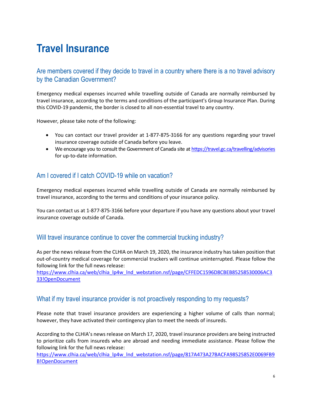# **Travel Insurance**

### Are members covered if they decide to travel in a country where there is a no travel advisory by the Canadian Government?

Emergency medical expenses incurred while travelling outside of Canada are normally reimbursed by travel insurance, according to the terms and conditions of the participant's Group Insurance Plan. During this COVID-19 pandemic, the border is closed to all non-essential travel to any country.

However, please take note of the following:

- You can contact our travel provider at 1-877-875-3166 for any questions regarding your travel insurance coverage outside of Canada before you leave.
- We encourage you to consult the Government of Canada site at https://travel.gc.ca/travelling/advisories for up-to-date information.

### Am I covered if I catch COVID-19 while on vacation?

Emergency medical expenses incurred while travelling outside of Canada are normally reimbursed by travel insurance, according to the terms and conditions of your insurance policy.

You can contact us at 1-877-875-3166 before your departure if you have any questions about your travel insurance coverage outside of Canada.

#### Will travel insurance continue to cover the commercial trucking industry?

As per the news release from the CLHIA on March 19, 2020, the insurance industry has taken position that out-of-country medical coverage for commercial truckers will continue uninterrupted. Please follow the following link for the full news release:

https://www.clhia.ca/web/clhia\_lp4w\_lnd\_webstation.nsf/page/CFFEDC1596D8CBEB85258530006AC3 33!OpenDocument

#### What if my travel insurance provider is not proactively responding to my requests?

Please note that travel insurance providers are experiencing a higher volume of calls than normal; however, they have activated their contingency plan to meet the needs of insureds.

According to the CLHIA's news release on March 17, 2020, travel insurance providers are being instructed to prioritize calls from insureds who are abroad and needing immediate assistance. Please follow the following link for the full news release:

https://www.clhia.ca/web/clhia\_lp4w\_lnd\_webstation.nsf/page/817A473A27BACFA98525852E0069FB9 B!OpenDocument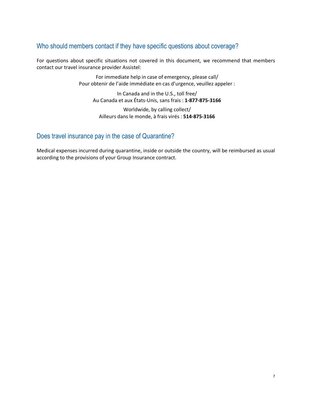### Who should members contact if they have specific questions about coverage?

For questions about specific situations not covered in this document, we recommend that members contact our travel insurance provider Assistel:

> For immediate help in case of emergency, please call/ Pour obtenir de l'aide immédiate en cas d'urgence, veuillez appeler :

In Canada and in the U.S., toll free/ Au Canada et aux États-Unis, sans frais : **1-877-875-3166**

Worldwide, by calling collect/ Ailleurs dans le monde, à frais virés : **514-875-3166**

# Does travel insurance pay in the case of Quarantine?

Medical expenses incurred during quarantine, inside or outside the country, will be reimbursed as usual according to the provisions of your Group Insurance contract.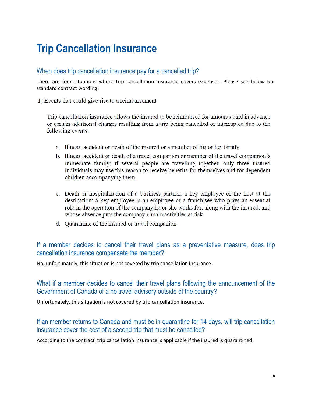# **Trip Cancellation Insurance**

#### When does trip cancellation insurance pay for a cancelled trip?

There are four situations where trip cancellation insurance covers expenses. Please see below our standard contract wording:

1) Events that could give rise to a reimbursement

Trip cancellation insurance allows the insured to be reimbursed for amounts paid in advance or certain additional charges resulting from a trip being cancelled or interrupted due to the following events:

- a. Illness, accident or death of the insured or a member of his or her family.
- b. Illness, accident or death of a travel companion or member of the travel companion's immediate family; if several people are travelling together, only three insured individuals may use this reason to receive benefits for themselves and for dependent children accompanying them.
- c. Death or hospitalization of a business partner, a key employee or the host at the destination; a key employee is an employee or a franchisee who plays an essential role in the operation of the company he or she works for, along with the insured, and whose absence puts the company's main activities at risk.
- d. Quarantine of the insured or travel companion.

### If a member decides to cancel their travel plans as a preventative measure, does trip cancellation insurance compensate the member?

No, unfortunately, this situation is not covered by trip cancellation insurance.

# What if a member decides to cancel their travel plans following the announcement of the Government of Canada of a no travel advisory outside of the country?

Unfortunately, this situation is not covered by trip cancellation insurance.

# If an member returns to Canada and must be in quarantine for 14 days, will trip cancellation insurance cover the cost of a second trip that must be cancelled?

According to the contract, trip cancellation insurance is applicable if the insured is quarantined.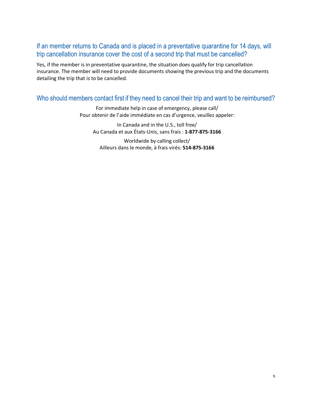### If an member returns to Canada and is placed in a preventative quarantine for 14 days, will trip cancellation insurance cover the cost of a second trip that must be cancelled?

Yes, if the member is in preventative quarantine, the situation does qualify for trip cancellation insurance. The member will need to provide documents showing the previous trip and the documents detailing the trip that is to be cancelled.

#### Who should members contact first if they need to cancel their trip and want to be reimbursed?

For immediate help in case of emergency, please call/ Pour obtenir de l'aide immédiate en cas d'urgence, veuillez appeler:

In Canada and in the U.S., toll free/ Au Canada et aux États-Unis, sans frais : **1-877-875-3166**

Worldwide by calling collect/ Ailleurs dans le monde, à frais virés: **514-875-3166**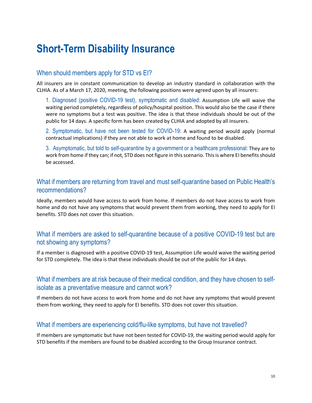# **Short-Term Disability Insurance**

#### When should members apply for STD vs EI?

All insurers are in constant communication to develop an industry standard in collaboration with the CLHIA. As of a March 17, 2020, meeting, the following positions were agreed upon by all insurers:

1. Diagnosed (positive COVID-19 test), symptomatic and disabled: Assumption Life will waive the waiting period completely, regardless of policy/hospital position. This would also be the case if there were no symptoms but a test was positive. The idea is that these individuals should be out of the public for 14 days. A specific form has been created by CLHIA and adopted by all insurers.

2. Symptomatic, but have not been tested for COVID-19: A waiting period would apply (normal contractual implications) if they are not able to work at home and found to be disabled.

3. Asymptomatic, but told to self-quarantine by a government or a healthcare professional: They are to work from home if they can; if not, STD does not figure in this scenario. This is where EI benefits should be accessed.

#### What if members are returning from travel and must self-quarantine based on Public Health's recommendations?

Ideally, members would have access to work from home. If members do not have access to work from home and do not have any symptoms that would prevent them from working, they need to apply for EI benefits. STD does not cover this situation.

#### What if members are asked to self-quarantine because of a positive COVID-19 test but are not showing any symptoms?

If a member is diagnosed with a positive COVID-19 test, Assumption Life would waive the waiting period for STD completely. The idea is that these individuals should be out of the public for 14 days.

#### What if members are at risk because of their medical condition, and they have chosen to selfisolate as a preventative measure and cannot work?

If members do not have access to work from home and do not have any symptoms that would prevent them from working, they need to apply for EI benefits. STD does not cover this situation.

#### What if members are experiencing cold/flu-like symptoms, but have not travelled?

If members are symptomatic but have not been tested for COVID-19, the waiting period would apply for STD benefits if the members are found to be disabled according to the Group Insurance contract.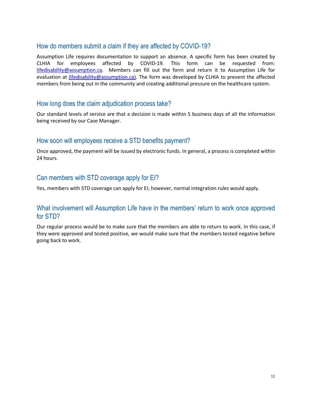#### How do members submit a claim if they are affected by COVID-19?

Assumption Life requires documentation to support an absence. A specific form has been created by CLHIA for employees affected by COVID-19. This form can be requested from: lifedisability@assumption.ca. Members can fill out the form and return it to Assumption Life for evaluation at lifedisability@assumption.ca). The form was developed by CLHIA to prevent the affected members from being out in the community and creating additional pressure on the healthcare system.

#### How long does the claim adjudication process take?

Our standard levels of service are that a decision is made within 5 business days of all the information being received by our Case Manager.

#### How soon will employees receive a STD benefits payment?

Once approved, the payment will be issued by electronic funds. In general, a process is completed within 24 hours.

#### Can members with STD coverage apply for EI?

Yes, members with STD coverage can apply for EI; however, normal integration rules would apply.

#### What involvement will Assumption Life have in the members' return to work once approved for STD?

Our regular process would be to make sure that the members are able to return to work. In this case, if they were approved and tested positive, we would make sure that the members tested negative before going back to work.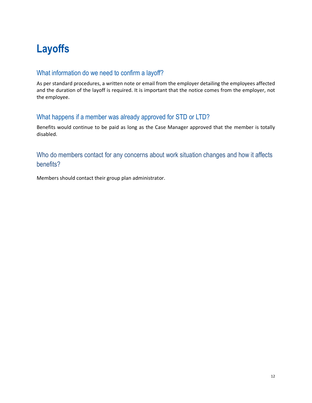# **Layoffs**

### What information do we need to confirm a layoff?

As per standard procedures, a written note or email from the employer detailing the employees affected and the duration of the layoff is required. It is important that the notice comes from the employer, not the employee.

### What happens if a member was already approved for STD or LTD?

Benefits would continue to be paid as long as the Case Manager approved that the member is totally disabled.

# Who do members contact for any concerns about work situation changes and how it affects benefits?

Members should contact their group plan administrator.